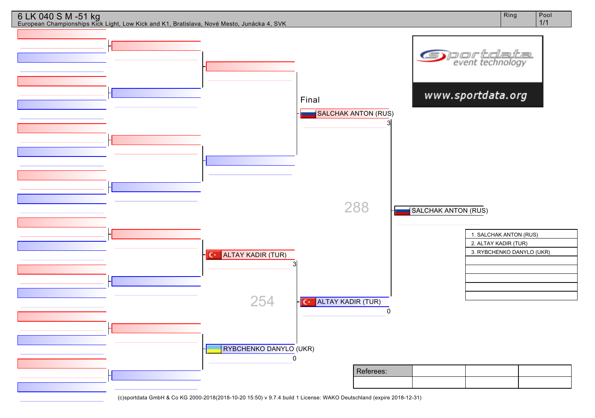

288

ALTAY KADIR (TUR)

Referees:

0

SALCHAK ANTON (RUS)

1. SALCHAK ANTON (RUS) 2. ALTAY KADIR (TUR)

3. RYBCHENKO DANYLO (UKR)

| (c)sportdata GmbH & Co KG 2000-2018(2018-10-20 15:50) v 9.7.4 build 1 License: WAKO Deutschland (expire 2018-12-31) |  |  |  |  |
|---------------------------------------------------------------------------------------------------------------------|--|--|--|--|
|---------------------------------------------------------------------------------------------------------------------|--|--|--|--|

RYBCHENKO DANYLO (UKR)

254

3

 $C^*$ 

0

**C** ALTAY KADIR (TUR)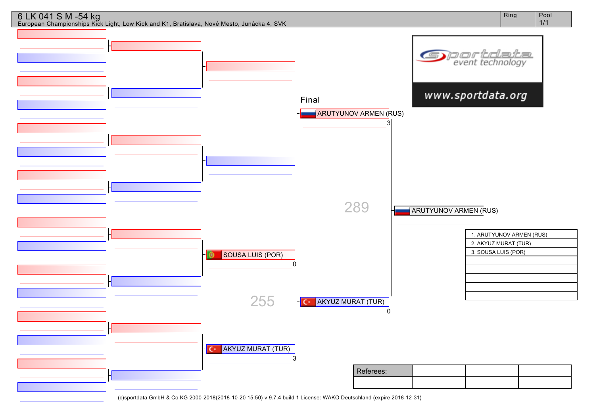

1/1



European Championships Kick Light, Low Kick and K1, Bratislava, Nové Mesto, Junácka 4, SVK

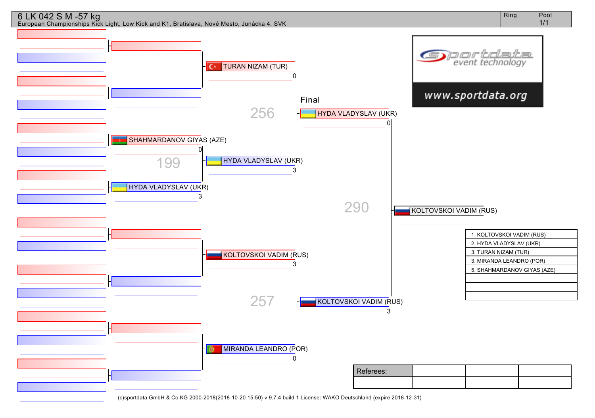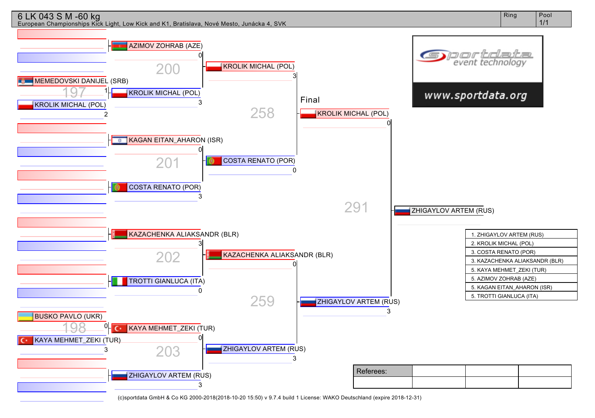

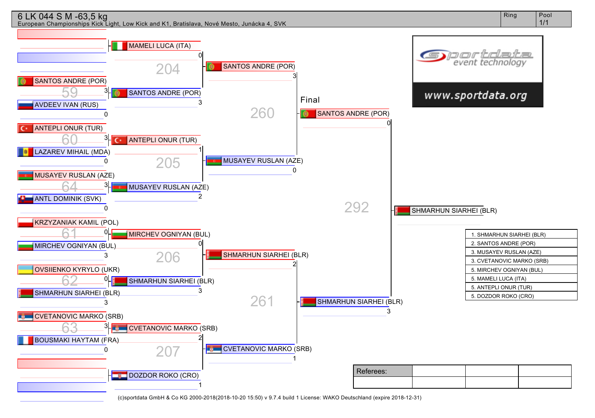

Ring | Pool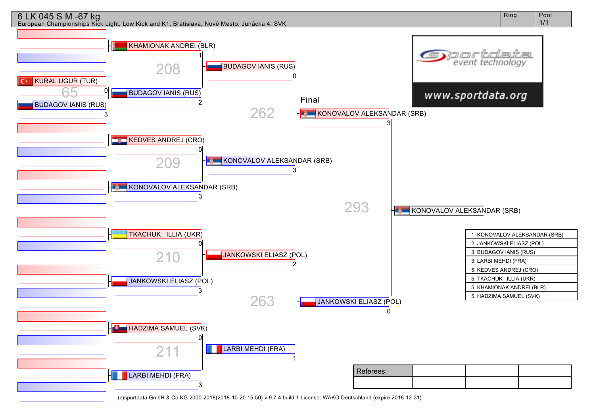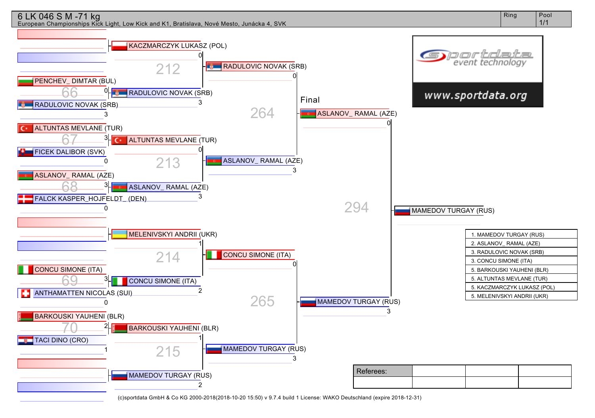

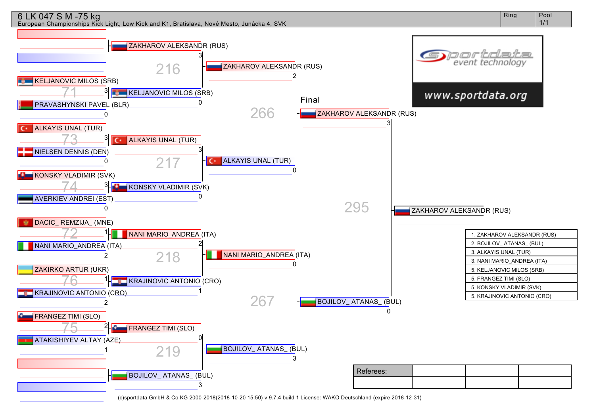## 6 LK 047 S M -75 kg

European Championships Kick Light, Low Kick and K1, Bratislava, Nové Mesto, Junácka 4, SVK

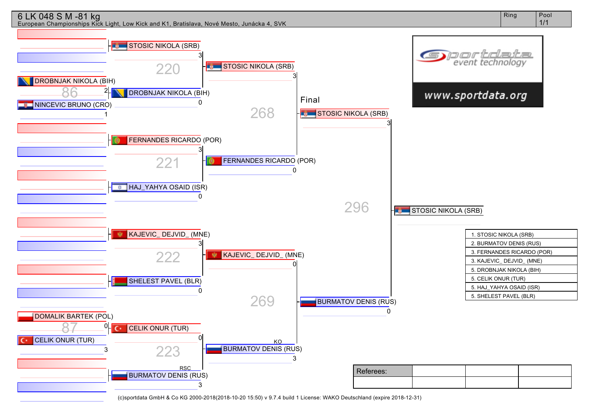

Ring | Pool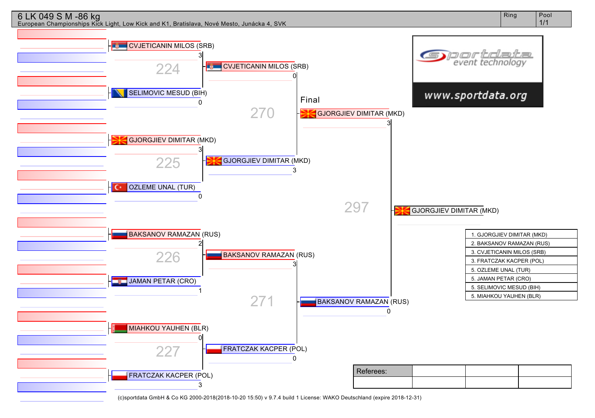

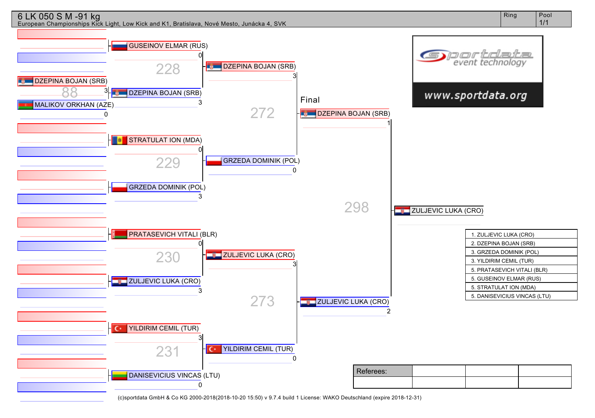

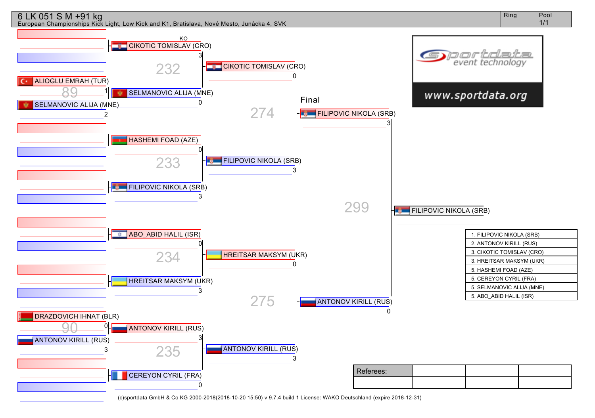

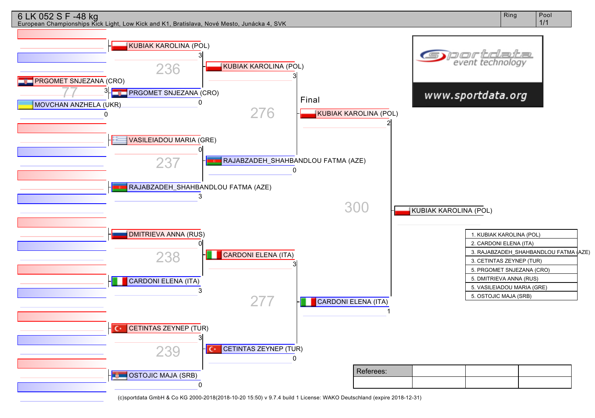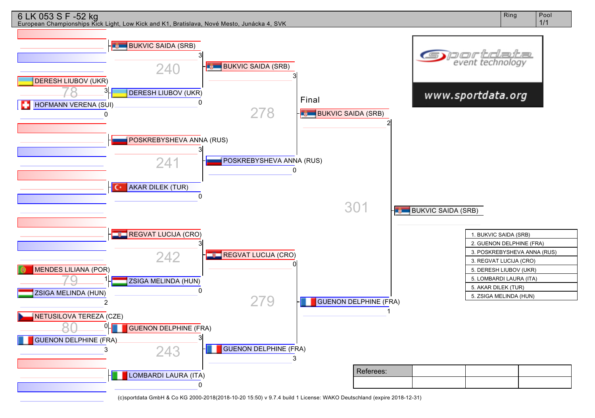

Ring | Pool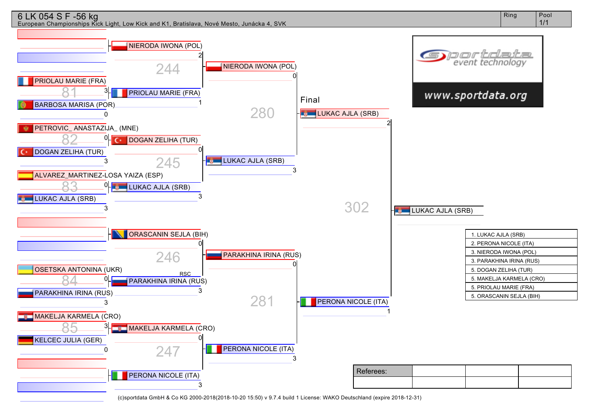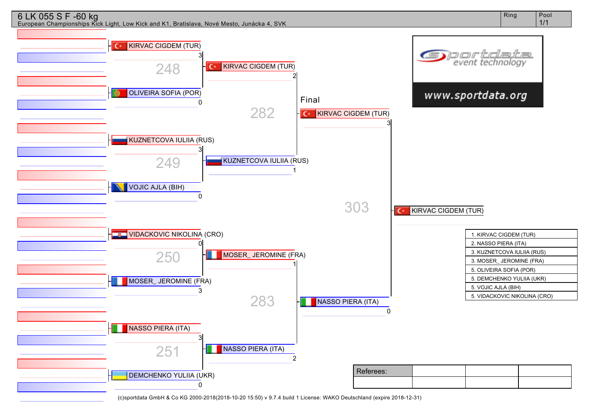

Ring Pool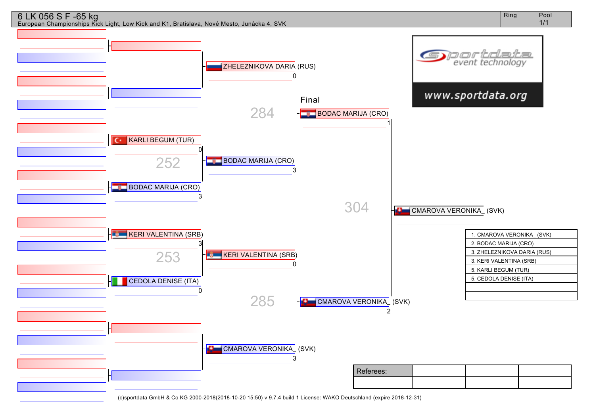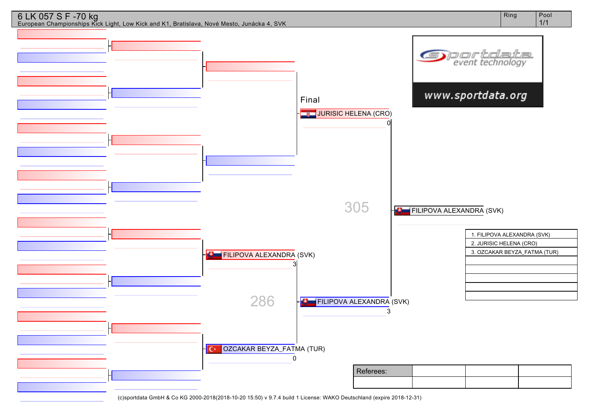